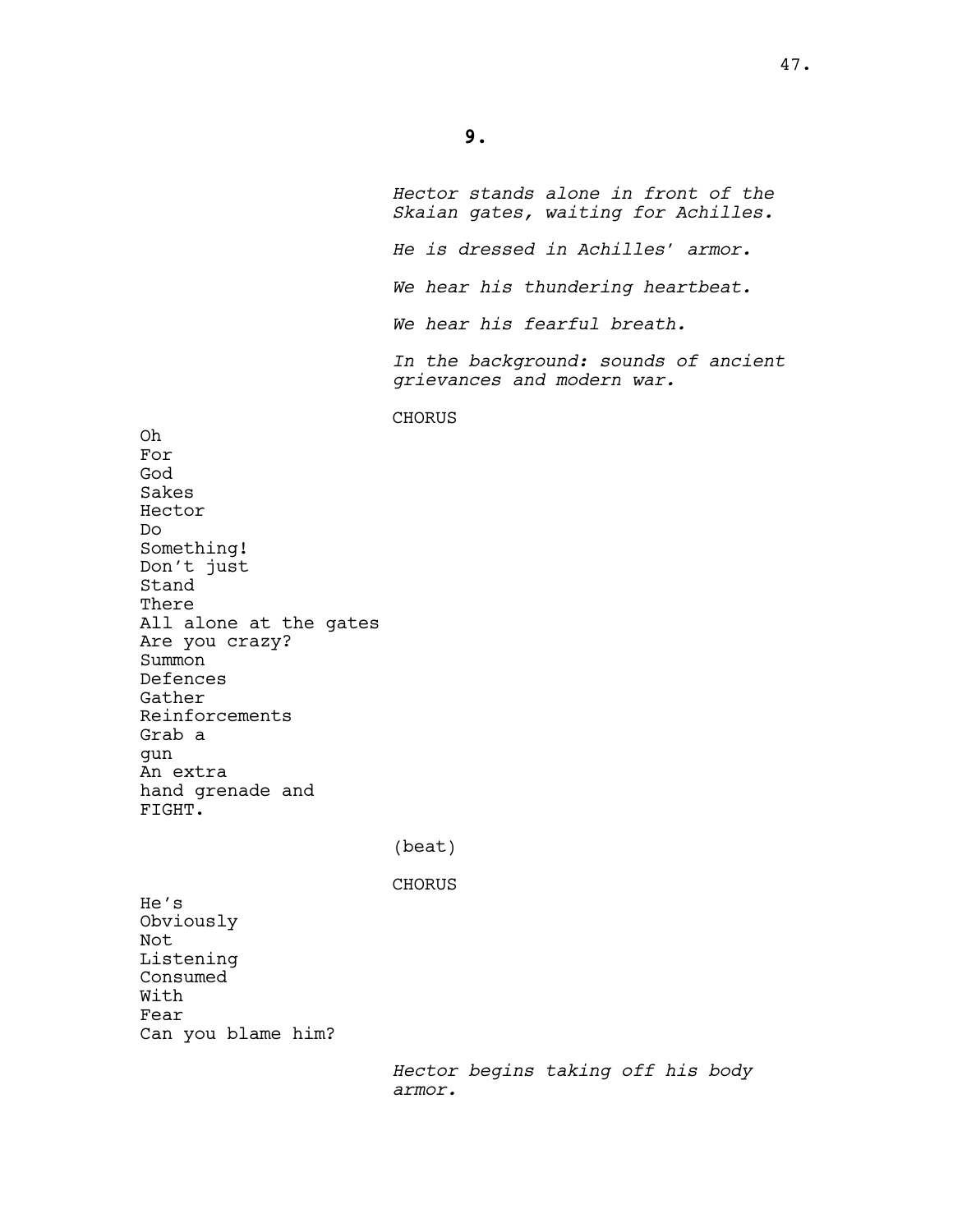**9.**

Oh For God Sakes Hector Do

Something! Don't just

Are you crazy?

Reinforcements

Stand There

Summon Defences Gather

Grab a gun An extra

FIGHT.

He's

Not

Obviously

Listening Consumed With Fear

*Hector stands alone in front of the Skaian gates, waiting for Achilles. He is dressed in Achilles' armor. We hear his thundering heartbeat. We hear his fearful breath. In the background: sounds of ancient grievances and modern war.* CHORUS All alone at the gates hand grenade and (beat) CHORUS Can you blame him?

> *Hector begins taking off his body armor.*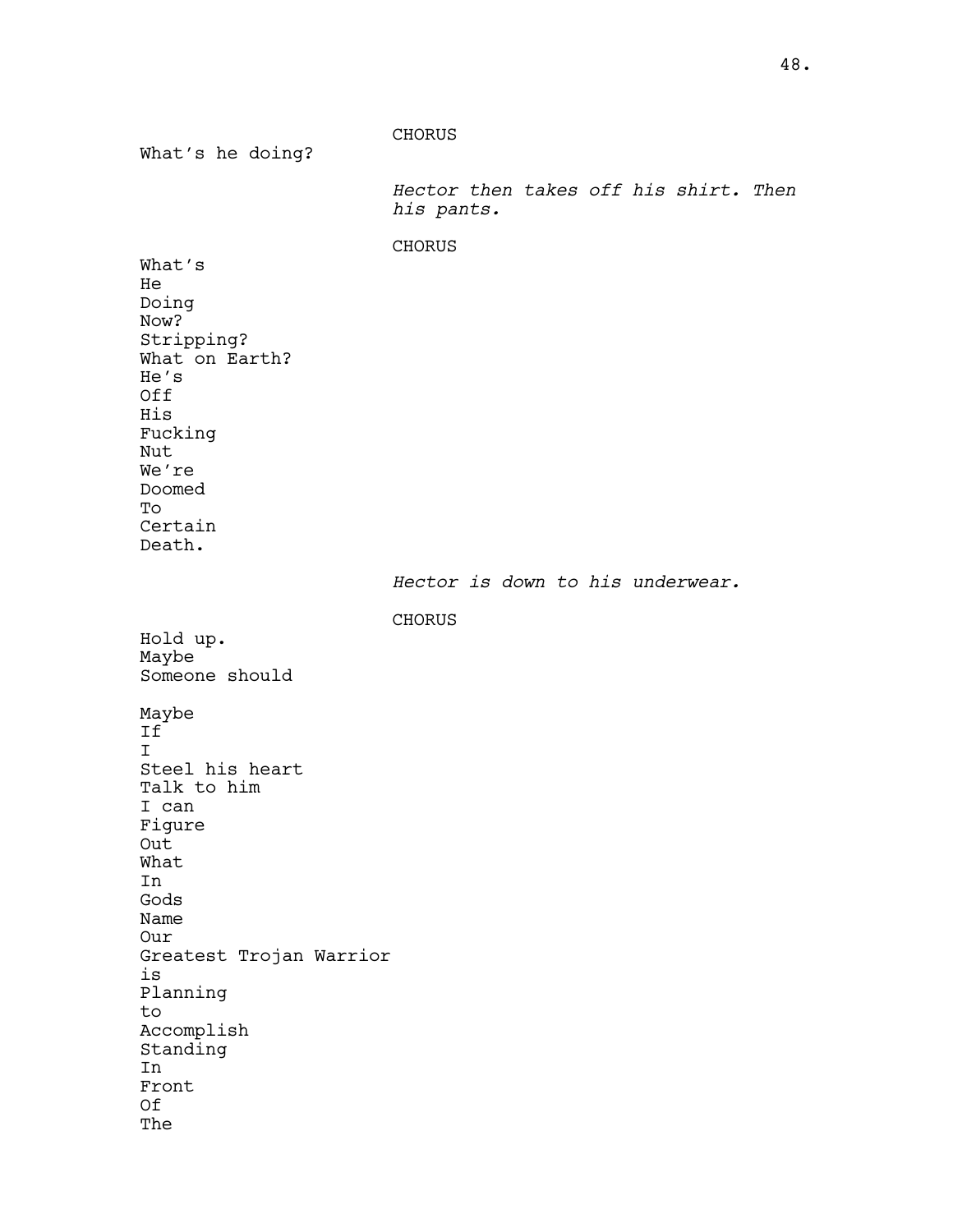CHORUS What's he doing? *Hector then takes off his shirt. Then his pants.* CHORUS What's He Doing Now? Stripping? What on Earth? He's Off His Fucking Nut We're Doomed To Certain Death. *Hector is down to his underwear.* CHORUS Hold up. Maybe Someone should Maybe If I Steel his heart Talk to him I can Figure Out What In Gods Name Our Greatest Trojan Warrior is Planning to Accomplish Standing In Front Of The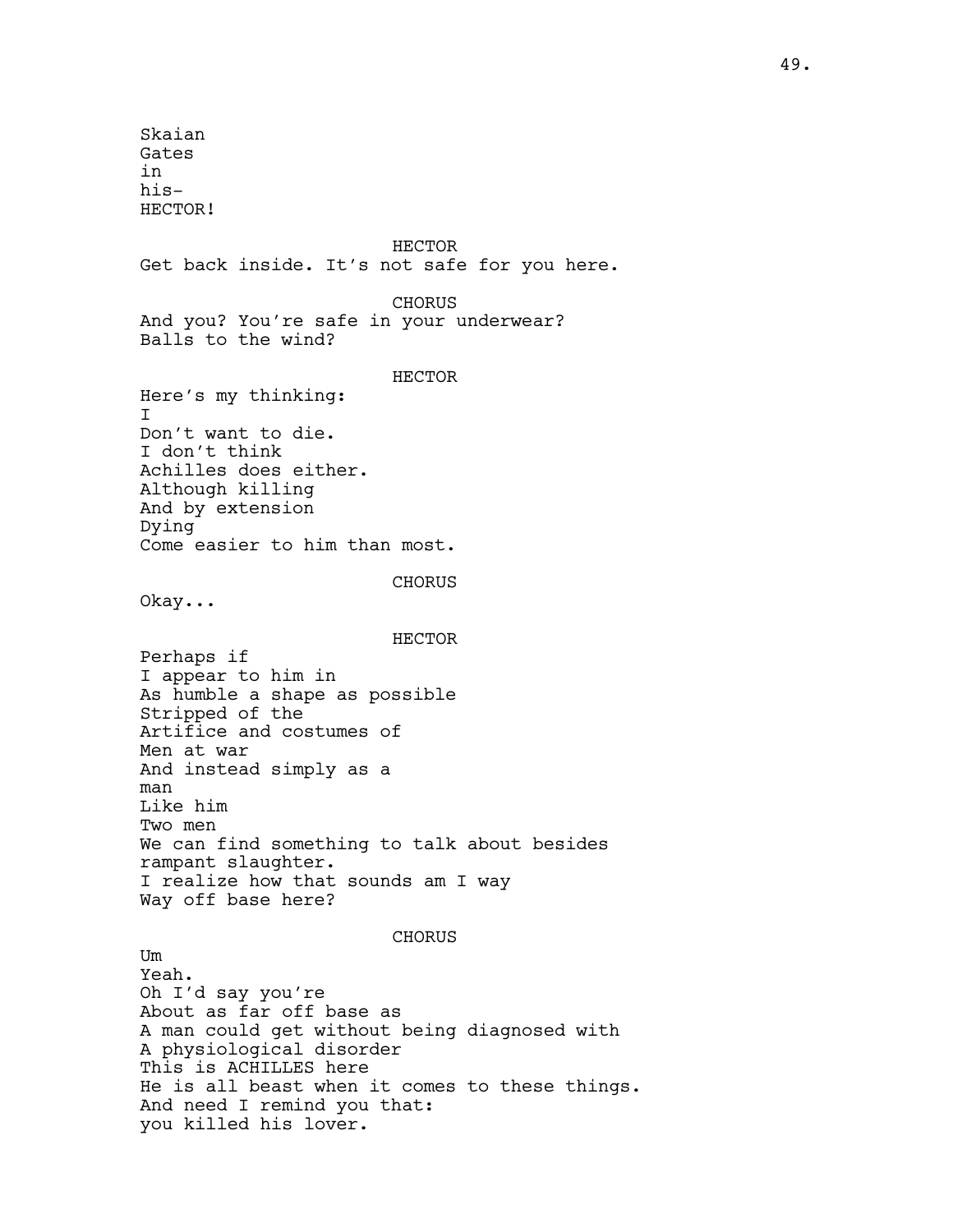Skaian Gates in his-HECTOR! HECTOR Get back inside. It's not safe for you here. CHORUS And you? You're safe in your underwear? Balls to the wind? HECTOR Here's my thinking: I Don't want to die. I don't think Achilles does either. Although killing And by extension Dying Come easier to him than most. **CHORUS** Okay... HECTOR Perhaps if I appear to him in As humble a shape as possible Stripped of the Artifice and costumes of Men at war And instead simply as a man Like him Two men We can find something to talk about besides rampant slaughter. I realize how that sounds am I way Way off base here? **CHORUS** Um Yeah. Oh I'd say you're About as far off base as A man could get without being diagnosed with A physiological disorder This is ACHILLES here He is all beast when it comes to these things. And need I remind you that: you killed his lover.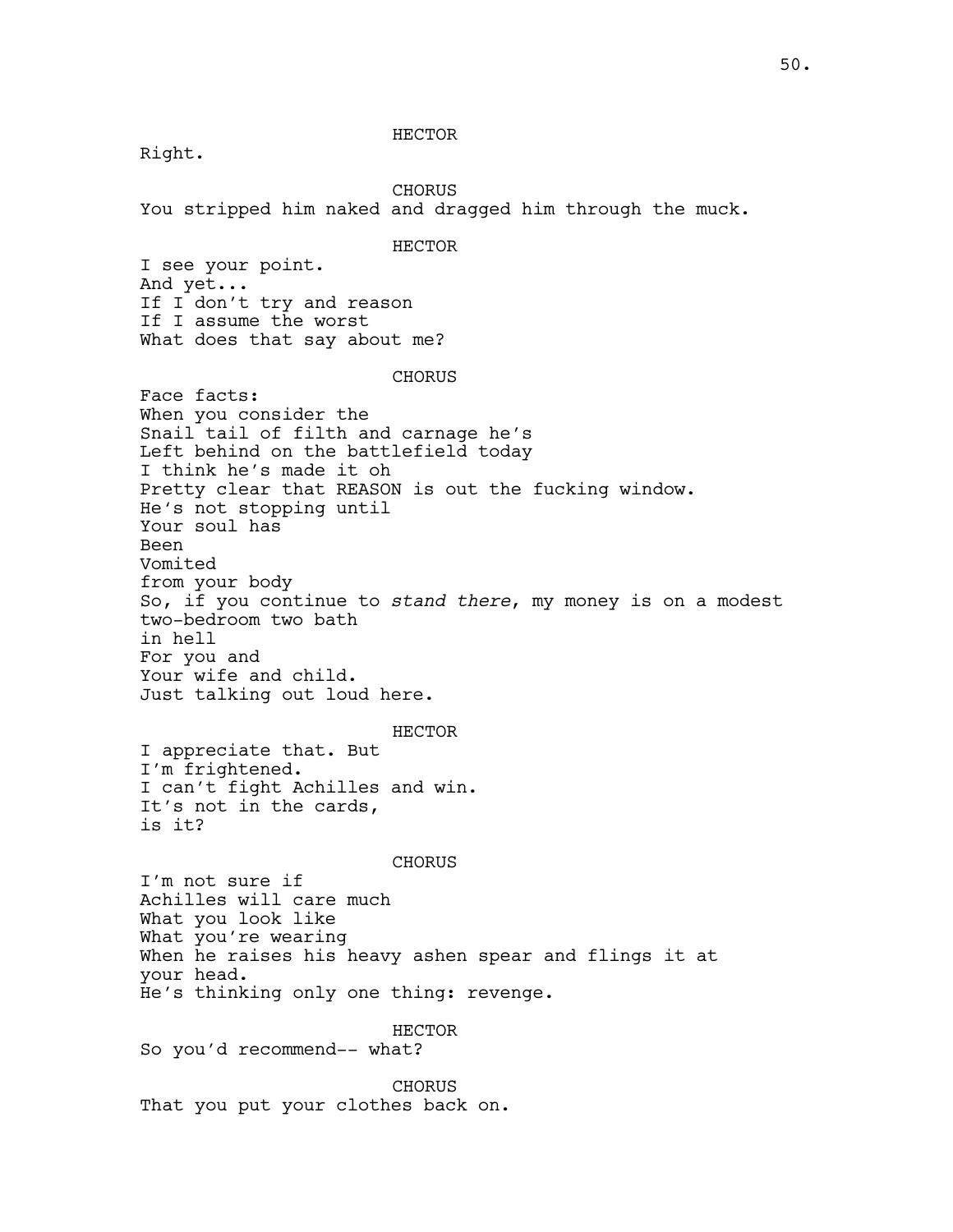HECTOR

Right.

CHORUS You stripped him naked and dragged him through the muck. HECTOR I see your point. And yet... If I don't try and reason If I assume the worst What does that say about me? CHORUS Face facts: When you consider the Snail tail of filth and carnage he's Left behind on the battlefield today I think he's made it oh Pretty clear that REASON is out the fucking window. He's not stopping until Your soul has Been Vomited from your body So, if you continue to *stand there*, my money is on a modest two-bedroom two bath in hell For you and Your wife and child. Just talking out loud here. HECTOR I appreciate that. But I'm frightened. I can't fight Achilles and win. It's not in the cards, is it? CHORUS I'm not sure if Achilles will care much What you look like What you're wearing When he raises his heavy ashen spear and flings it at your head. He's thinking only one thing: revenge. HECTOR So you'd recommend-- what? CHORUS That you put your clothes back on.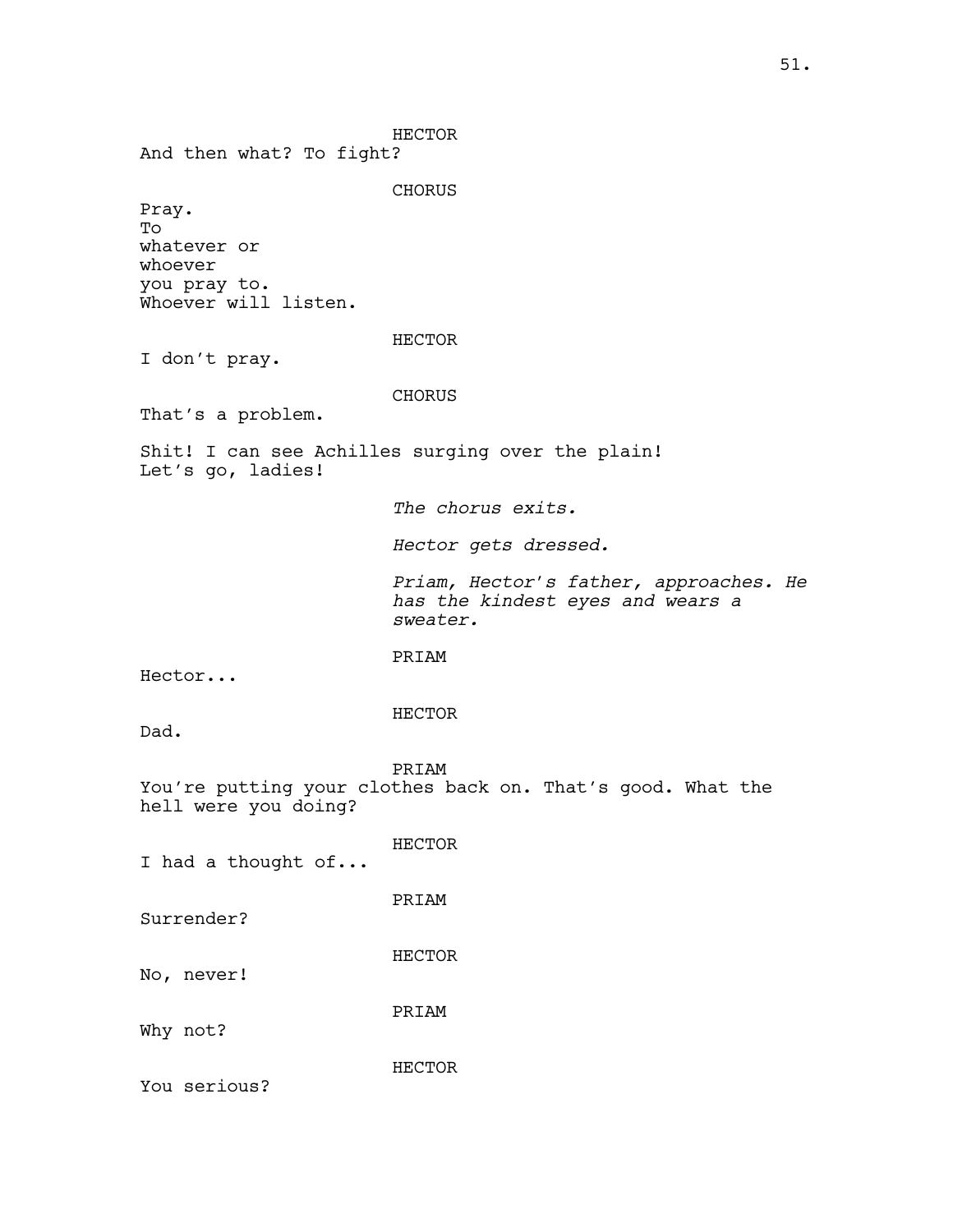HECTOR And then what? To fight? **CHORUS** Pray. To whatever or whoever you pray to. Whoever will listen. HECTOR I don't pray. CHORUS That's a problem. Shit! I can see Achilles surging over the plain! Let's go, ladies! *The chorus exits. Hector gets dressed. Priam, Hector's father, approaches. He has the kindest eyes and wears a sweater.*  PRIAM Hector... HECTOR Dad. PRIAM You're putting your clothes back on. That's good. What the hell were you doing? HECTOR I had a thought of... PRIAM Surrender? HECTOR No, never! PRIAM Why not? HECTOR You serious?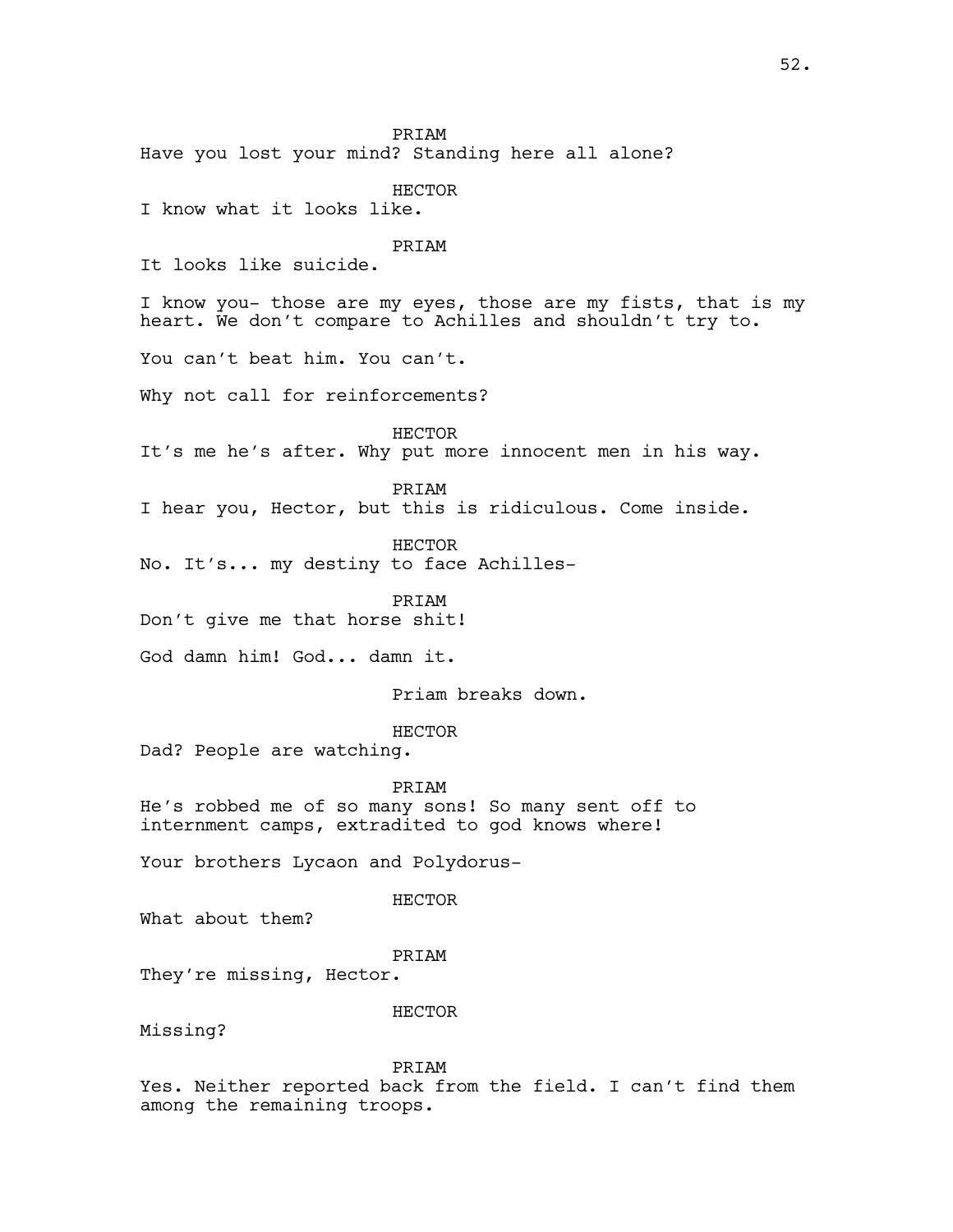PRIAM Have you lost your mind? Standing here all alone? HECTOR I know what it looks like. PRIAM It looks like suicide. I know you- those are my eyes, those are my fists, that is my heart. We don't compare to Achilles and shouldn't try to. You can't beat him. You can't. Why not call for reinforcements? HECTOR It's me he's after. Why put more innocent men in his way. PRIAM I hear you, Hector, but this is ridiculous. Come inside. HECTOR No. It's... my destiny to face Achilles-PRIAM Don't give me that horse shit! God damn him! God... damn it. Priam breaks down. HECTOR Dad? People are watching. PRIAM He's robbed me of so many sons! So many sent off to internment camps, extradited to god knows where! Your brothers Lycaon and Polydorus-HECTOR What about them? PRIAM They're missing, Hector. HECTOR Missing? PRIAM Yes. Neither reported back from the field. I can't find them

among the remaining troops.

52.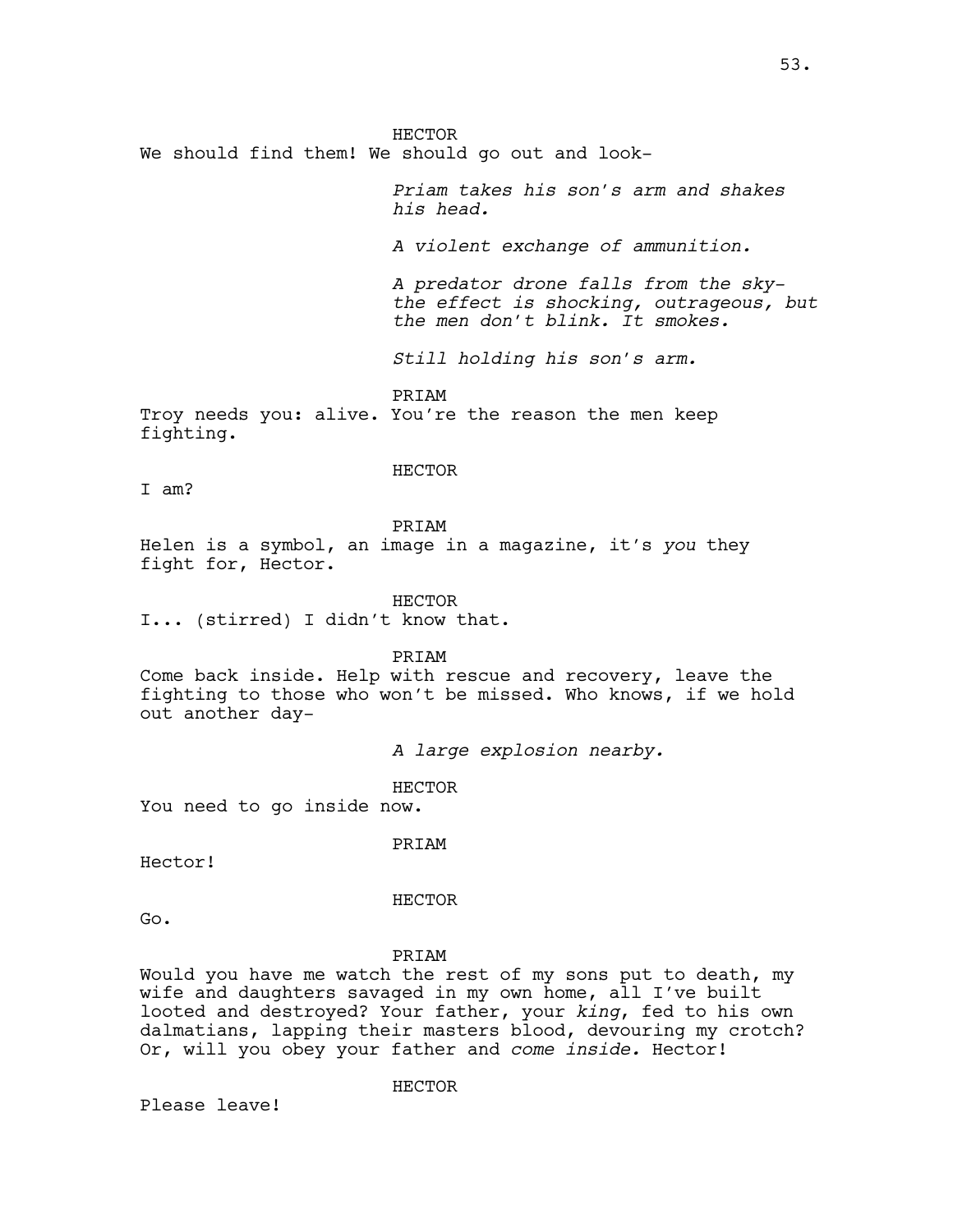HECTOR We should find them! We should go out and look-

> *Priam takes his son's arm and shakes his head.*

*A violent exchange of ammunition.* 

*A predator drone falls from the skythe effect is shocking, outrageous, but the men don't blink. It smokes.*

*Still holding his son's arm.* 

PRIAM

Troy needs you: alive. You're the reason the men keep fighting.

HECTOR

I am?

PRIAM

Helen is a symbol, an image in a magazine, it's *you* they fight for, Hector.

HECTOR I... (stirred) I didn't know that.

PRIAM

Come back inside. Help with rescue and recovery, leave the fighting to those who won't be missed. Who knows, if we hold out another day-

*A large explosion nearby.*

HECTOR

You need to go inside now.

PRIAM

Hector!

HECTOR

Go.

PRIAM

Would you have me watch the rest of my sons put to death, my wife and daughters savaged in my own home, all I've built looted and destroyed? Your father, your *king*, fed to his own dalmatians, lapping their masters blood, devouring my crotch? Or, will you obey your father and *come inside.* Hector!

HECTOR

Please leave!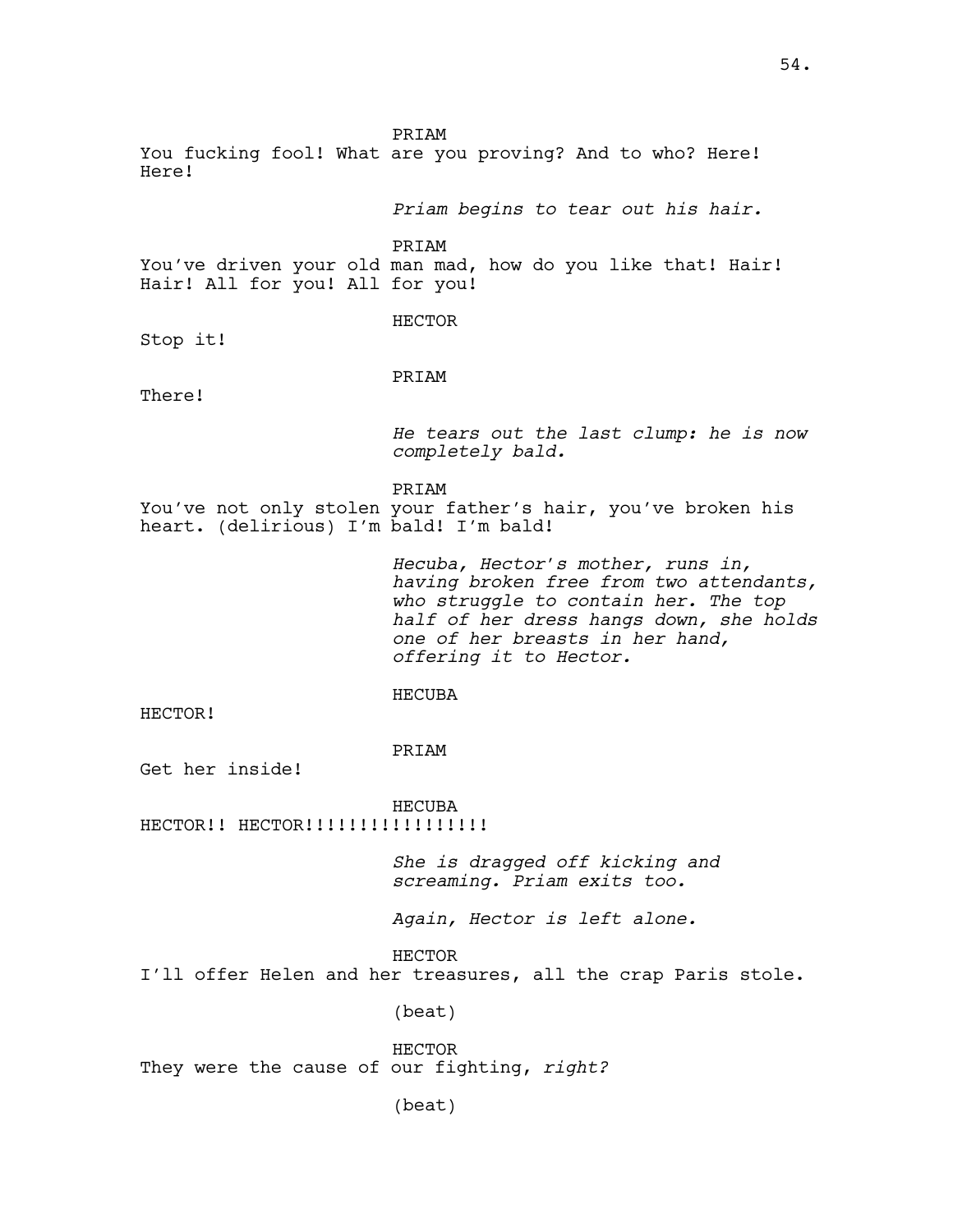PRIAM You fucking fool! What are you proving? And to who? Here! Here! *Priam begins to tear out his hair.* PRIAM You've driven your old man mad, how do you like that! Hair! Hair! All for you! All for you! HECTOR Stop it! PRIAM There! *He tears out the last clump: he is now completely bald.* PRIAM You've not only stolen your father's hair, you've broken his heart. (delirious) I'm bald! I'm bald! *Hecuba, Hector's mother, runs in, having broken free from two attendants, who struggle to contain her. The top half of her dress hangs down, she holds one of her breasts in her hand, offering it to Hector.* HECUBA HECTOR! PRIAM Get her inside! HECUBA HECTOR!! HECTOR!!!!!!!!!!!!!!!!! *She is dragged off kicking and screaming. Priam exits too. Again, Hector is left alone.*  HECTOR I'll offer Helen and her treasures, all the crap Paris stole. (beat) HECTOR They were the cause of our fighting, *right?* (beat)